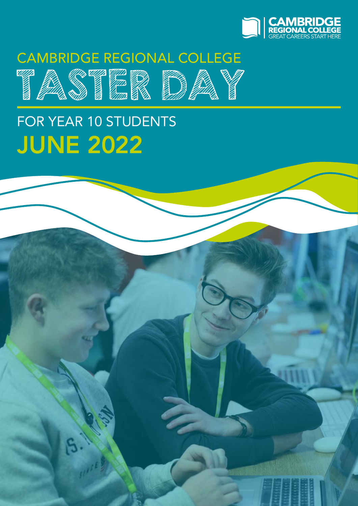

## CAMBRIDGE REGIONAL COLLEGE



# FOR YEAR 10 STUDENTS JUNE 2022

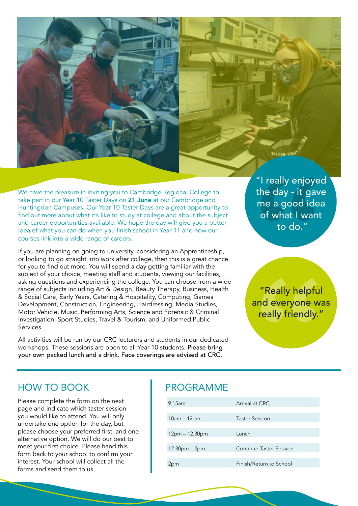

We have the pleasure in inviting you to Cambridge Regional College to take part in our Year 10 Taster Days on 21 June at our Cambridge and Huntingdon Campuses. Our Year 10 Taster Days are a great opportunity to find out more about what it's like to study at college and about the subject and career opportunities available. We hope the day will give you a better idea of what you can do when you finish school in Year 11 and how our courses link into a wide range of careers.

If you are planning on going to university, considering an Apprenticeship, or looking to go straight into work after college, then this is a great chance for you to find out more. You will spend a day getting familiar with the subject of your choice, meeting staff and students, viewing our facilities, asking questions and experiencing the college. You can choose from a wide range of subjects including Art & Design, Beauty Therapy, Business, Health & Social Care, Early Years, Catering & Hospitality, Computing, Games Development, Construction, Engineering, Hairdressing, Media Studies, Motor Vehicle, Music, Performing Arts, Science and Forensic & Criminal Investigation, Sport Studies, Travel & Tourism, and Uniformed Public Services.

All activities will be run by our CRC lecturers and students in our dedicated workshops. These sessions are open to all Year 10 students. Please bring your own packed lunch and a drink. Face coverings are advised at CRC.

"I really enjoyed the day - it gave me a good idea of what I want to do."

"Really helpful and everyone was really friendly."

#### HOW TO BOOK

Please complete the form on the next page and indicate which taster session you would like to attend. You will only undertake one option for the day, but please choose your preferred first, and one alternative option. We will do our best to meet your first choice. Please hand this form back to your school to confirm your interest. Your school will collect all the forms and send them to us.

#### PROGRAMME

| $9.15$ am        | Arrival at CRC          |
|------------------|-------------------------|
| 10am – 12pm      | Taster Session          |
| $12pm - 12.30pm$ | Lunch                   |
| $12.30pm - 2pm$  | Continue Taster Session |
| !pm              | Finish/Return to School |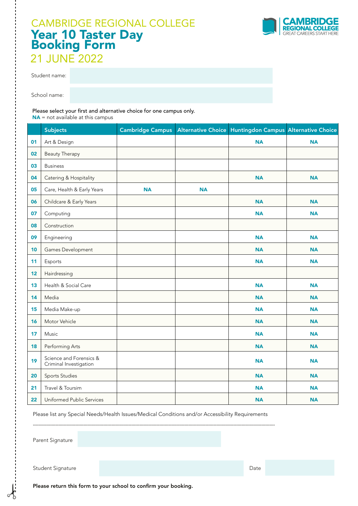### 21 JUNE 2022 CAMBRIDGE REGIONAL COLLEGE Year 10 Taster Day Booking Form



Student name:

School name:

Please select your first and alternative choice for one campus only.

NA = not available at this campus

|    | <b>Subjects</b>                                   | <b>Cambridge Campus</b> |           | Alternative Choice Huntingdon Campus Alternative Choice |           |
|----|---------------------------------------------------|-------------------------|-----------|---------------------------------------------------------|-----------|
| 01 | Art & Design                                      |                         |           | <b>NA</b>                                               | <b>NA</b> |
| 02 | <b>Beauty Therapy</b>                             |                         |           |                                                         |           |
| 03 | <b>Business</b>                                   |                         |           |                                                         |           |
| 04 | Catering & Hospitality                            |                         |           | <b>NA</b>                                               | <b>NA</b> |
| 05 | Care, Health & Early Years                        | <b>NA</b>               | <b>NA</b> |                                                         |           |
| 06 | Childcare & Early Years                           |                         |           | <b>NA</b>                                               | <b>NA</b> |
| 07 | Computing                                         |                         |           | <b>NA</b>                                               | <b>NA</b> |
| 08 | Construction                                      |                         |           |                                                         |           |
| 09 | Engineering                                       |                         |           | <b>NA</b>                                               | <b>NA</b> |
| 10 | Games Development                                 |                         |           | <b>NA</b>                                               | <b>NA</b> |
| 11 | Esports                                           |                         |           | <b>NA</b>                                               | <b>NA</b> |
| 12 | Hairdressing                                      |                         |           |                                                         |           |
| 13 | Health & Social Care                              |                         |           | <b>NA</b>                                               | <b>NA</b> |
| 14 | Media                                             |                         |           | <b>NA</b>                                               | <b>NA</b> |
| 15 | Media Make-up                                     |                         |           | <b>NA</b>                                               | <b>NA</b> |
| 16 | Motor Vehicle                                     |                         |           | <b>NA</b>                                               | <b>NA</b> |
| 17 | Music                                             |                         |           | <b>NA</b>                                               | <b>NA</b> |
| 18 | Performing Arts                                   |                         |           | <b>NA</b>                                               | <b>NA</b> |
| 19 | Science and Forensics &<br>Criminal Investigation |                         |           | <b>NA</b>                                               | <b>NA</b> |
| 20 | Sports Studies                                    |                         |           | <b>NA</b>                                               | <b>NA</b> |
| 21 | Travel & Toursim                                  |                         |           | <b>NA</b>                                               | <b>NA</b> |
| 22 | Uniformed Public Services                         |                         |           | <b>NA</b>                                               | <b>NA</b> |

Please list any Special Needs/Health Issues/Medical Conditions and/or Accessibility Requirements

........................................................................................................................................................................................................................

Parent Signature

Student Signature Date Date Communication and Communication and Communication and Communication and Date

Please return this form to your school to confirm your booking.